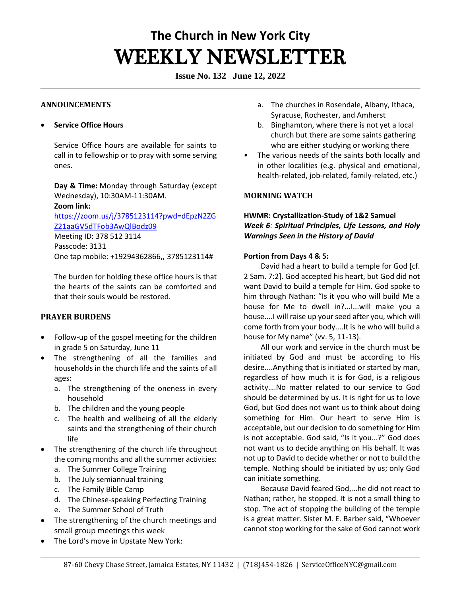# **The Church in New York City** WEEKLY NEWSLETTER

**Issue No. 132 June 12, 2022**

## **ANNOUNCEMENTS**

## • **Service Office Hours**

Service Office hours are available for saints to call in to fellowship or to pray with some serving ones. 

**Day & Time:** Monday through Saturday (except Wednesday), 10:30AM-11:30AM.   **Zoom link:** [https://zoom.us/j/3785123114?pwd=dEpzN2ZG](https://zoom.us/j/3785123114?pwd=dEpzN2ZGZ21aaGV5dTFob3AwQlBodz09)

[Z21aaGV5dTFob3AwQlBodz09](https://zoom.us/j/3785123114?pwd=dEpzN2ZGZ21aaGV5dTFob3AwQlBodz09) Meeting ID: 378 512 3114

Passcode: 3131 One tap mobile: +19294362866,, 3785123114#

The burden for holding these office hours is that the hearts of the saints can be comforted and that their souls would be restored. 

# **PRAYER BURDENS**

- Follow-up of the gospel meeting for the children in grade 5 on Saturday, June 11
- The strengthening of all the families and households in the church life and the saints of all ages:
	- a. The strengthening of the oneness in every household
	- b. The children and the young people
	- c. The health and wellbeing of all the elderly saints and the strengthening of their church life
- The strengthening of the church life throughout the coming months and all the summer activities:
	- a. The Summer College Training
	- b. The July semiannual training
	- c. The Family Bible Camp
	- d. The Chinese-speaking Perfecting Training
	- e. The Summer School of Truth
- The strengthening of the church meetings and small group meetings this week
- The Lord's move in Upstate New York:
- a. The churches in Rosendale, Albany, Ithaca, Syracuse, Rochester, and Amherst
- b. Binghamton, where there is not yet a local church but there are some saints gathering who are either studying or working there
- The various needs of the saints both locally and in other localities (e.g. physical and emotional, health-related, job-related, family-related, etc.)

# **MORNING WATCH**

# **HWMR: Crystallization-Study of 1&2 Samuel**  *Week 6: Spiritual Principles, Life Lessons, and Holy Warnings Seen in the History of David*

## **Portion from Days 4 & 5:**

David had a heart to build a temple for God [cf. 2 Sam. 7:2]. God accepted his heart, but God did not want David to build a temple for Him. God spoke to him through Nathan: "Is it you who will build Me a house for Me to dwell in?...I...will make you a house....I will raise up your seed after you, which will come forth from your body....It is he who will build a house for My name" (vv. 5, 11-13).

All our work and service in the church must be initiated by God and must be according to His desire....Anything that is initiated or started by man, regardless of how much it is for God, is a religious activity….No matter related to our service to God should be determined by us. It is right for us to love God, but God does not want us to think about doing something for Him. Our heart to serve Him is acceptable, but our decision to do something for Him is not acceptable. God said, "Is it you...?" God does not want us to decide anything on His behalf. It was not up to David to decide whether or not to build the temple. Nothing should be initiated by us; only God can initiate something.

Because David feared God,...he did not react to Nathan; rather, he stopped. It is not a small thing to stop. The act of stopping the building of the temple is a great matter. Sister M. E. Barber said, "Whoever cannot stop working for the sake of God cannot work